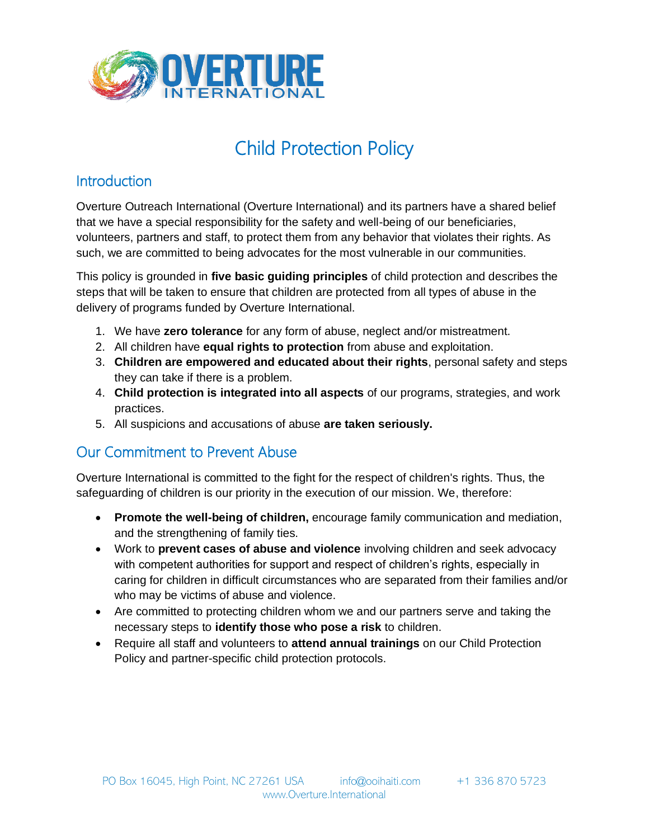

# Child Protection Policy

### **Introduction**

Overture Outreach International (Overture International) and its partners have a shared belief that we have a special responsibility for the safety and well-being of our beneficiaries, volunteers, partners and staff, to protect them from any behavior that violates their rights. As such, we are committed to being advocates for the most vulnerable in our communities.

This policy is grounded in **five basic guiding principles** of child protection and describes the steps that will be taken to ensure that children are protected from all types of abuse in the delivery of programs funded by Overture International.

- 1. We have **zero tolerance** for any form of abuse, neglect and/or mistreatment.
- 2. All children have **equal rights to protection** from abuse and exploitation.
- 3. **Children are empowered and educated about their rights**, personal safety and steps they can take if there is a problem.
- 4. **Child protection is integrated into all aspects** of our programs, strategies, and work practices.
- 5. All suspicions and accusations of abuse **are taken seriously.**

# Our Commitment to Prevent Abuse

Overture International is committed to the fight for the respect of children's rights. Thus, the safeguarding of children is our priority in the execution of our mission. We, therefore:

- **Promote the well-being of children,** encourage family communication and mediation, and the strengthening of family ties.
- Work to **prevent cases of abuse and violence** involving children and seek advocacy with competent authorities for support and respect of children's rights, especially in caring for children in difficult circumstances who are separated from their families and/or who may be victims of abuse and violence.
- Are committed to protecting children whom we and our partners serve and taking the necessary steps to **identify those who pose a risk** to children.
- Require all staff and volunteers to **attend annual trainings** on our Child Protection Policy and partner-specific child protection protocols.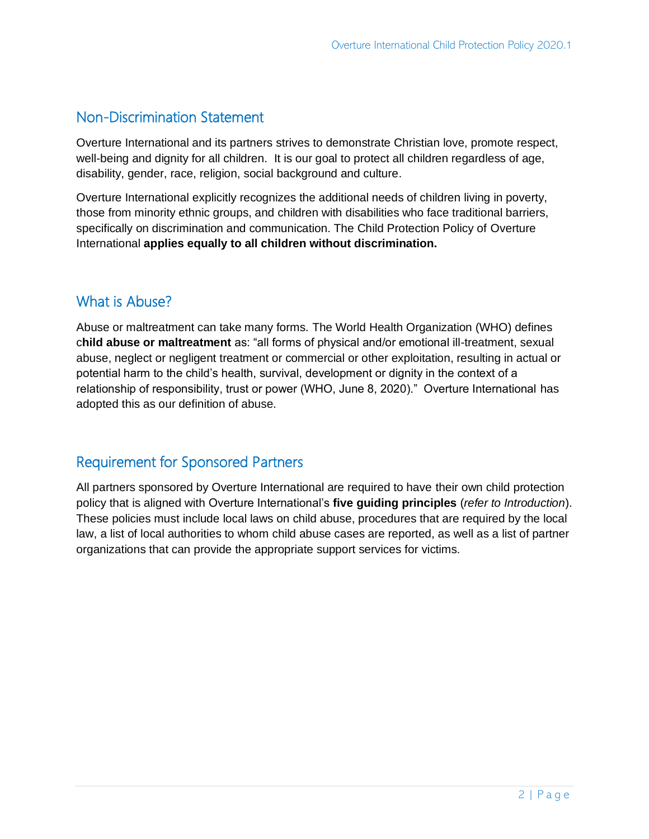#### Non-Discrimination Statement

Overture International and its partners strives to demonstrate Christian love, promote respect, well-being and dignity for all children. It is our goal to protect all children regardless of age, disability, gender, race, religion, social background and culture.

Overture International explicitly recognizes the additional needs of children living in poverty, those from minority ethnic groups, and children with disabilities who face traditional barriers, specifically on discrimination and communication. The Child Protection Policy of Overture International **applies equally to all children without discrimination.**

#### What is Abuse?

Abuse or maltreatment can take many forms. The World Health Organization (WHO) defines c**hild abuse or maltreatment** as: "all forms of physical and/or emotional ill-treatment, sexual abuse, neglect or negligent treatment or commercial or other exploitation, resulting in actual or potential harm to the child's health, survival, development or dignity in the context of a relationship of responsibility, trust or power (WHO, June 8, 2020)." Overture International has adopted this as our definition of abuse.

#### Requirement for Sponsored Partners

All partners sponsored by Overture International are required to have their own child protection policy that is aligned with Overture International's **five guiding principles** (*refer to Introduction*). These policies must include local laws on child abuse, procedures that are required by the local law, a list of local authorities to whom child abuse cases are reported, as well as a list of partner organizations that can provide the appropriate support services for victims.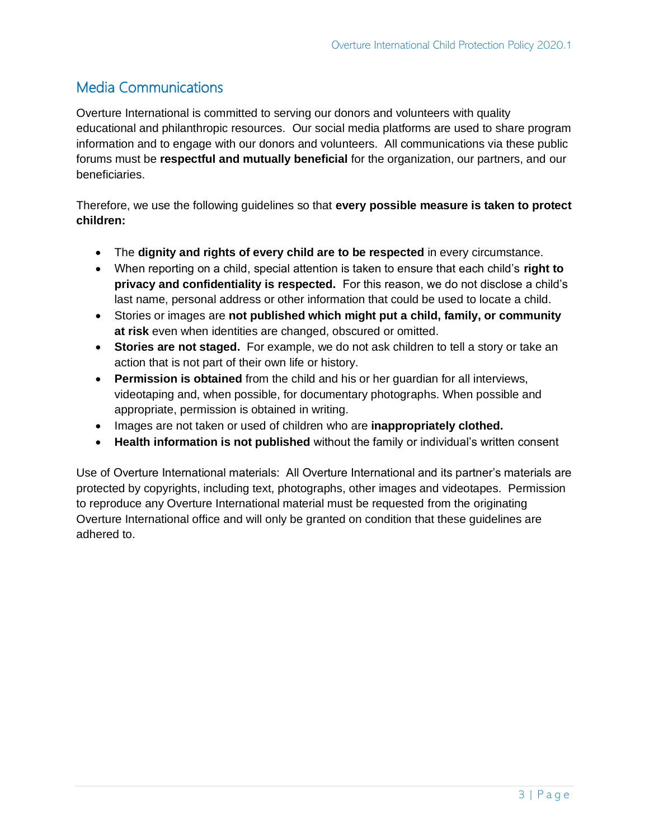## Media Communications

Overture International is committed to serving our donors and volunteers with quality educational and philanthropic resources. Our social media platforms are used to share program information and to engage with our donors and volunteers. All communications via these public forums must be **respectful and mutually beneficial** for the organization, our partners, and our beneficiaries.

Therefore, we use the following guidelines so that **every possible measure is taken to protect children:**

- The **dignity and rights of every child are to be respected** in every circumstance.
- When reporting on a child, special attention is taken to ensure that each child's **right to privacy and confidentiality is respected.** For this reason, we do not disclose a child's last name, personal address or other information that could be used to locate a child.
- Stories or images are **not published which might put a child, family, or community at risk** even when identities are changed, obscured or omitted.
- **Stories are not staged.** For example, we do not ask children to tell a story or take an action that is not part of their own life or history.
- **Permission is obtained** from the child and his or her guardian for all interviews, videotaping and, when possible, for documentary photographs. When possible and appropriate, permission is obtained in writing.
- Images are not taken or used of children who are **inappropriately clothed.**
- **Health information is not published** without the family or individual's written consent

Use of Overture International materials: All Overture International and its partner's materials are protected by copyrights, including text, photographs, other images and videotapes. Permission to reproduce any Overture International material must be requested from the originating Overture International office and will only be granted on condition that these guidelines are adhered to.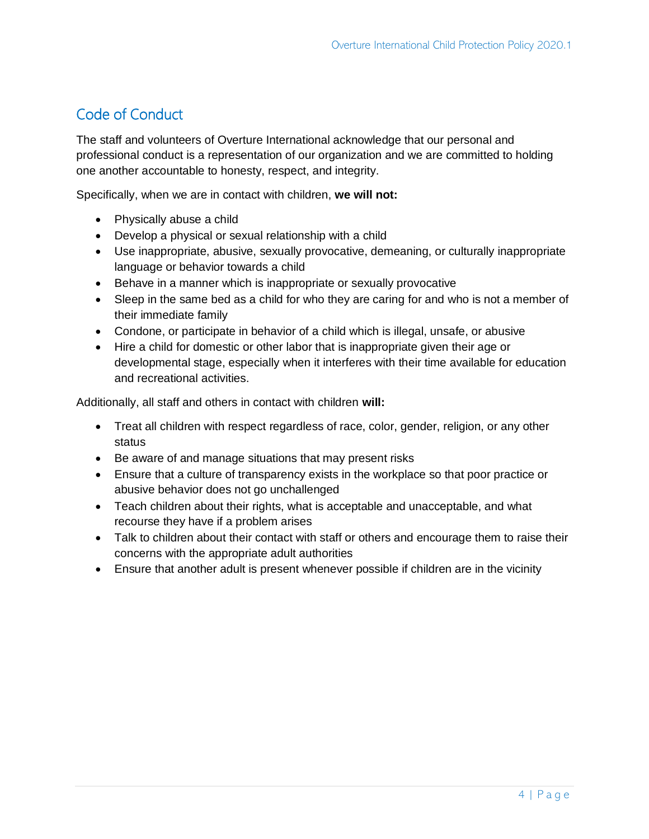# Code of Conduct

The staff and volunteers of Overture International acknowledge that our personal and professional conduct is a representation of our organization and we are committed to holding one another accountable to honesty, respect, and integrity.

Specifically, when we are in contact with children, **we will not:**

- Physically abuse a child
- Develop a physical or sexual relationship with a child
- Use inappropriate, abusive, sexually provocative, demeaning, or culturally inappropriate language or behavior towards a child
- Behave in a manner which is inappropriate or sexually provocative
- Sleep in the same bed as a child for who they are caring for and who is not a member of their immediate family
- Condone, or participate in behavior of a child which is illegal, unsafe, or abusive
- Hire a child for domestic or other labor that is inappropriate given their age or developmental stage, especially when it interferes with their time available for education and recreational activities.

Additionally, all staff and others in contact with children **will:**

- Treat all children with respect regardless of race, color, gender, religion, or any other status
- Be aware of and manage situations that may present risks
- Ensure that a culture of transparency exists in the workplace so that poor practice or abusive behavior does not go unchallenged
- Teach children about their rights, what is acceptable and unacceptable, and what recourse they have if a problem arises
- Talk to children about their contact with staff or others and encourage them to raise their concerns with the appropriate adult authorities
- Ensure that another adult is present whenever possible if children are in the vicinity